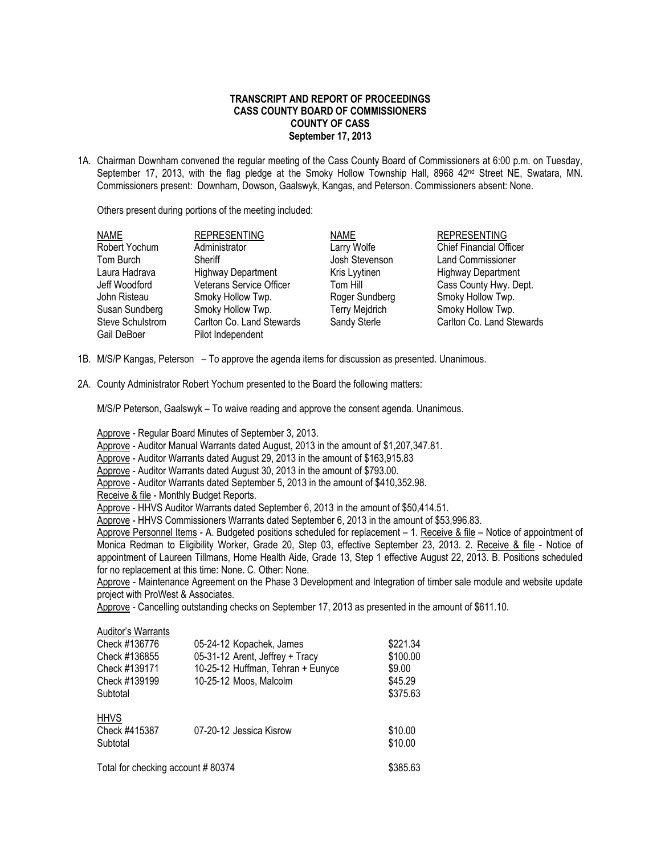## **TRANSCRIPT AND REPORT OF PROCEEDINGS CASS COUNTY BOARD OF COMMISSIONERS COUNTY OF CASS September 17, 2013**

1A. Chairman Downham convened the regular meeting of the Cass County Board of Commissioners at 6:00 p.m. on Tuesday, September 17, 2013, with the flag pledge at the Smoky Hollow Township Hall, 8968 42<sup>nd</sup> Street NE, Swatara, MN. Commissioners present: Downham, Dowson, Gaalswyk, Kangas, and Peterson. Commissioners absent: None.

Others present during portions of the meeting included:

| <b>NAME</b>      | <b>REPRESENTING</b>       | <b>NAME</b>    | <b>REPRESENTING</b>            |
|------------------|---------------------------|----------------|--------------------------------|
| Robert Yochum    | Administrator             | Larry Wolfe    | <b>Chief Financial Officer</b> |
| Tom Burch        | Sheriff                   | Josh Stevenson | <b>Land Commissioner</b>       |
| Laura Hadrava    | <b>Highway Department</b> | Kris Lyytinen  | <b>Highway Department</b>      |
| Jeff Woodford    | Veterans Service Officer  | Tom Hill       | Cass County Hwy. Dept.         |
| John Risteau     | Smoky Hollow Twp.         | Roger Sundberg | Smoky Hollow Twp.              |
| Susan Sundberg   | Smoky Hollow Twp.         | Terry Mejdrich | Smoky Hollow Twp.              |
| Steve Schulstrom | Carlton Co. Land Stewards | Sandy Sterle   | Carlton Co. Land Stewards      |
| Gail DeBoer      | Pilot Independent         |                |                                |

- 1B. M/S/P Kangas, Peterson To approve the agenda items for discussion as presented. Unanimous.
- 2A. County Administrator Robert Yochum presented to the Board the following matters:

M/S/P Peterson, Gaalswyk – To waive reading and approve the consent agenda. Unanimous.

Approve - Regular Board Minutes of September 3, 2013.

Approve - Auditor Manual Warrants dated August, 2013 in the amount of \$1,207,347.81.

Approve - Auditor Warrants dated August 29, 2013 in the amount of \$163,915.83

Approve - Auditor Warrants dated August 30, 2013 in the amount of \$793.00.

- Approve Auditor Warrants dated September 5, 2013 in the amount of \$410,352.98.
- Receive & file Monthly Budget Reports.

Approve - HHVS Auditor Warrants dated September 6, 2013 in the amount of \$50,414.51.

Approve - HHVS Commissioners Warrants dated September 6, 2013 in the amount of \$53,996.83.

Approve Personnel Items - A. Budgeted positions scheduled for replacement – 1. Receive & file – Notice of appointment of Monica Redman to Eligibility Worker, Grade 20, Step 03, effective September 23, 2013. 2. Receive & file - Notice of appointment of Laureen Tillmans, Home Health Aide, Grade 13, Step 1 effective August 22, 2013. B. Positions scheduled for no replacement at this time: None. C. Other: None.

Approve - Maintenance Agreement on the Phase 3 Development and Integration of timber sale module and website update project with ProWest & Associates.

Approve - Cancelling outstanding checks on September 17, 2013 as presented in the amount of \$611.10.

Auditor's Warrants

| Check #136776<br>Check #136855<br>Check #139171<br>Check #139199<br>Subtotal | 05-24-12 Kopachek, James<br>05-31-12 Arent, Jeffrey + Tracy<br>10-25-12 Huffman, Tehran + Eunyce<br>10-25-12 Moos, Malcolm | \$221.34<br>\$100.00<br>\$9.00<br>\$45.29<br>\$375.63 |
|------------------------------------------------------------------------------|----------------------------------------------------------------------------------------------------------------------------|-------------------------------------------------------|
| <b>HHVS</b><br>Check #415387<br>Subtotal                                     | 07-20-12 Jessica Kisrow                                                                                                    | \$10.00<br>\$10.00                                    |
| Total for checking account #80374                                            |                                                                                                                            | \$385.63                                              |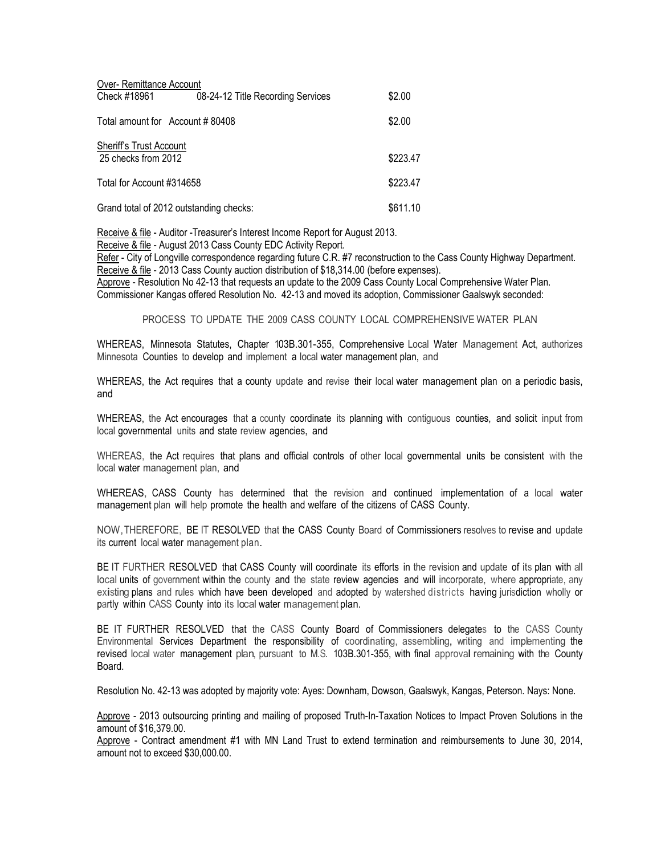| Over- Remittance Account                       |                                   |          |  |  |
|------------------------------------------------|-----------------------------------|----------|--|--|
| Check #18961                                   | 08-24-12 Title Recording Services | \$2.00   |  |  |
| Total amount for Account #80408                |                                   | \$2.00   |  |  |
| Sheriff's Trust Account<br>25 checks from 2012 |                                   | \$223.47 |  |  |
| Total for Account #314658                      |                                   |          |  |  |
| Grand total of 2012 outstanding checks:        |                                   |          |  |  |

Receive & file - Auditor -Treasurer's Interest Income Report for August 2013. Receive & file - August 2013 Cass County EDC Activity Report.

Refer - City of Longville correspondence regarding future C.R. #7 reconstruction to the Cass County Highway Department. Receive & file - 2013 Cass County auction distribution of \$18,314.00 (before expenses).

Approve - Resolution No 42-13 that requests an update to the 2009 Cass County Local Comprehensive Water Plan. Commissioner Kangas offered Resolution No. 42-13 and moved its adoption, Commissioner Gaalswyk seconded:

PROCESS TO UPDATE THE 2009 CASS COUNTY LOCAL COMPREHENSIVE WATER PLAN

WHEREAS, Minnesota Statutes, Chapter 103B.301-355, Comprehensive Local Water Management Act, authorizes Minnesota Counties to develop and implement a local water management plan, and

WHEREAS, the Act requires that a county update and revise their local water management plan on a periodic basis, and

WHEREAS, the Act encourages that a county coordinate its planning with contiguous counties, and solicit input from local governmental units and state review agencies, and

WHEREAS, the Act requires that plans and official controls of other local governmental units be consistent with the local water management plan, and

WHEREAS, CASS County has determined that the revision and continued implementation of a local water management plan will help promote the health and welfare of the citizens of CASS County.

NOW,THEREFORE, BE IT RESOLVED that the CASS County Board of Commissioners resolves to revise and update its current local water management plan.

BE IT FURTHER RESOLVED that CASS County will coordinate its efforts in the revision and update of its plan with all local units of government within the county and the state review agencies and will incorporate, where appropriate, any existing plans and rules which have been developed and adopted by watershed districts having jurisdiction wholly or partly within CASS County into its local water management plan.

BE IT FURTHER RESOLVED that the CASS County Board of Commissioners delegates to the CASS County Environmental Services Department the responsibility of coordinating, assembling, writing and implementing the revised local water management plan, pursuant to M.S. 103B.301-355, with final approval remaining with the County Board.

Resolution No. 42-13 was adopted by majority vote: Ayes: Downham, Dowson, Gaalswyk, Kangas, Peterson. Nays: None.

Approve - 2013 outsourcing printing and mailing of proposed Truth-In-Taxation Notices to Impact Proven Solutions in the amount of \$16,379.00.

Approve - Contract amendment #1 with MN Land Trust to extend termination and reimbursements to June 30, 2014, amount not to exceed \$30,000.00.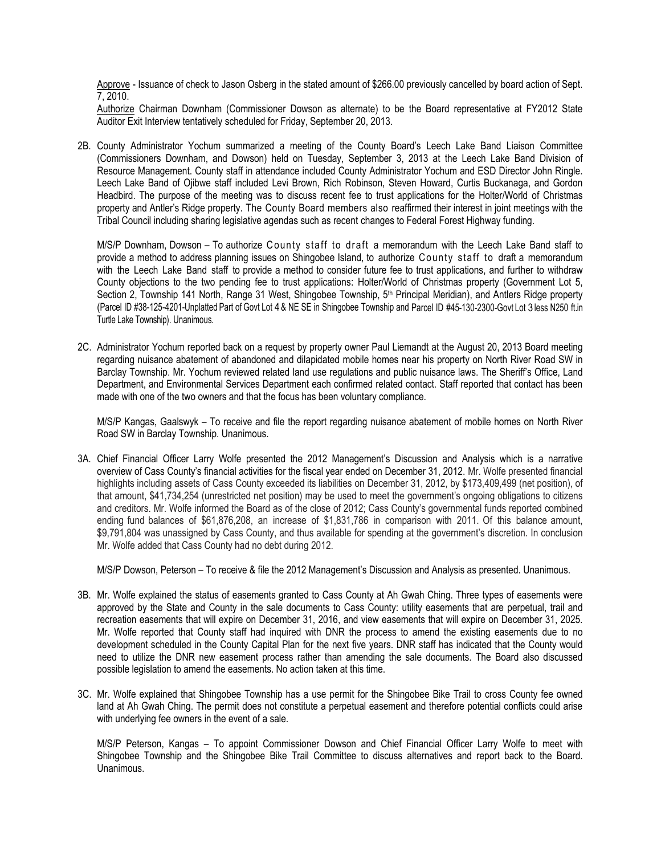Approve - Issuance of check to Jason Osberg in the stated amount of \$266.00 previously cancelled by board action of Sept. 7, 2010.

Authorize Chairman Downham (Commissioner Dowson as alternate) to be the Board representative at FY2012 State Auditor Exit Interview tentatively scheduled for Friday, September 20, 2013.

2B. County Administrator Yochum summarized a meeting of the County Board's Leech Lake Band Liaison Committee (Commissioners Downham, and Dowson) held on Tuesday, September 3, 2013 at the Leech Lake Band Division of Resource Management. County staff in attendance included County Administrator Yochum and ESD Director John Ringle. Leech Lake Band of Ojibwe staff included Levi Brown, Rich Robinson, Steven Howard, Curtis Buckanaga, and Gordon Headbird. The purpose of the meeting was to discuss recent fee to trust applications for the Holter/World of Christmas property and Antler's Ridge property. The County Board members also reaffirmed their interest in joint meetings with the Tribal Council including sharing legislative agendas such as recent changes to Federal Forest Highway funding.

M/S/P Downham, Dowson – To authorize County staff to draft a memorandum with the Leech Lake Band staff to provide a method to address planning issues on Shingobee Island, to authorize County staff to draft a memorandum with the Leech Lake Band staff to provide a method to consider future fee to trust applications, and further to withdraw County objections to the two pending fee to trust applications: Holter/World of Christmas property (Government Lot 5, Section 2, Township 141 North, Range 31 West, Shingobee Township, 5<sup>th</sup> Principal Meridian), and Antlers Ridge property (Parcel ID #38-125-4201-Unplatted Part of Govt Lot 4 & NE SE in Shingobee Township and Parcel ID #45-130-2300-Govt Lot 3 less N250 ft.in Turtle Lake Township). Unanimous.

2C. Administrator Yochum reported back on a request by property owner Paul Liemandt at the August 20, 2013 Board meeting regarding nuisance abatement of abandoned and dilapidated mobile homes near his property on North River Road SW in Barclay Township. Mr. Yochum reviewed related land use regulations and public nuisance laws. The Sheriff's Office, Land Department, and Environmental Services Department each confirmed related contact. Staff reported that contact has been made with one of the two owners and that the focus has been voluntary compliance.

M/S/P Kangas, Gaalswyk – To receive and file the report regarding nuisance abatement of mobile homes on North River Road SW in Barclay Township. Unanimous.

3A. Chief Financial Officer Larry Wolfe presented the 2012 Management's Discussion and Analysis which is a narrative overview of Cass County's financial activities for the fiscal year ended on December 31, 2012. Mr. Wolfe presented financial highlights including assets of Cass County exceeded its liabilities on December 31, 2012, by \$173,409,499 (net position), of that amount, \$41,734,254 (unrestricted net position) may be used to meet the government's ongoing obligations to citizens and creditors. Mr. Wolfe informed the Board as of the close of 2012; Cass County's governmental funds reported combined ending fund balances of \$61,876,208, an increase of \$1,831,786 in comparison with 2011. Of this balance amount, \$9,791,804 was unassigned by Cass County, and thus available for spending at the government's discretion. In conclusion Mr. Wolfe added that Cass County had no debt during 2012.

M/S/P Dowson, Peterson – To receive & file the 2012 Management's Discussion and Analysis as presented. Unanimous.

- 3B. Mr. Wolfe explained the status of easements granted to Cass County at Ah Gwah Ching. Three types of easements were approved by the State and County in the sale documents to Cass County: utility easements that are perpetual, trail and recreation easements that will expire on December 31, 2016, and view easements that will expire on December 31, 2025. Mr. Wolfe reported that County staff had inquired with DNR the process to amend the existing easements due to no development scheduled in the County Capital Plan for the next five years. DNR staff has indicated that the County would need to utilize the DNR new easement process rather than amending the sale documents. The Board also discussed possible legislation to amend the easements. No action taken at this time.
- 3C. Mr. Wolfe explained that Shingobee Township has a use permit for the Shingobee Bike Trail to cross County fee owned land at Ah Gwah Ching. The permit does not constitute a perpetual easement and therefore potential conflicts could arise with underlying fee owners in the event of a sale.

M/S/P Peterson, Kangas – To appoint Commissioner Dowson and Chief Financial Officer Larry Wolfe to meet with Shingobee Township and the Shingobee Bike Trail Committee to discuss alternatives and report back to the Board. Unanimous.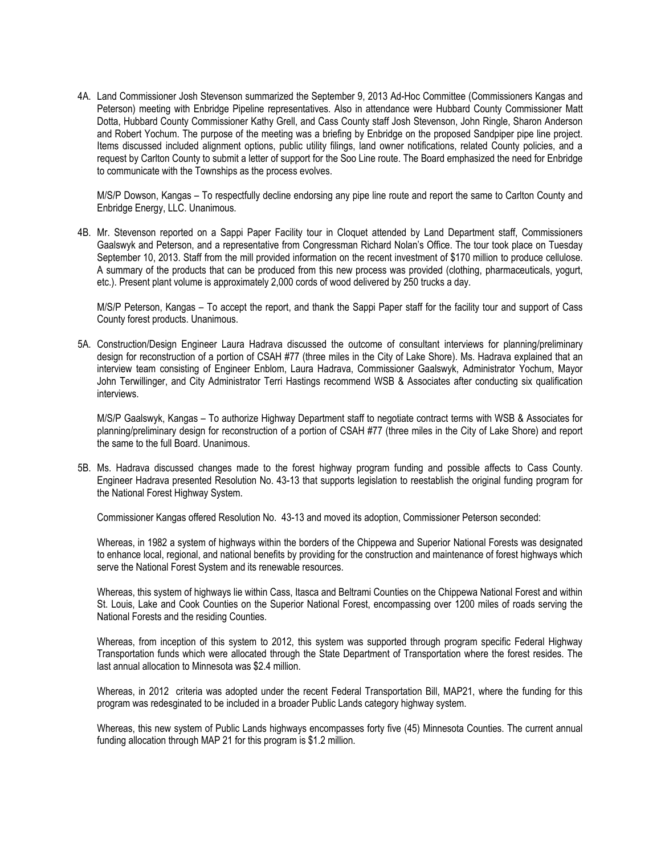4A. Land Commissioner Josh Stevenson summarized the September 9, 2013 Ad-Hoc Committee (Commissioners Kangas and Peterson) meeting with Enbridge Pipeline representatives. Also in attendance were Hubbard County Commissioner Matt Dotta, Hubbard County Commissioner Kathy Grell, and Cass County staff Josh Stevenson, John Ringle, Sharon Anderson and Robert Yochum. The purpose of the meeting was a briefing by Enbridge on the proposed Sandpiper pipe line project. Items discussed included alignment options, public utility filings, land owner notifications, related County policies, and a request by Carlton County to submit a letter of support for the Soo Line route. The Board emphasized the need for Enbridge to communicate with the Townships as the process evolves.

M/S/P Dowson, Kangas – To respectfully decline endorsing any pipe line route and report the same to Carlton County and Enbridge Energy, LLC. Unanimous.

4B. Mr. Stevenson reported on a Sappi Paper Facility tour in Cloquet attended by Land Department staff, Commissioners Gaalswyk and Peterson, and a representative from Congressman Richard Nolan's Office. The tour took place on Tuesday September 10, 2013. Staff from the mill provided information on the recent investment of \$170 million to produce cellulose. A summary of the products that can be produced from this new process was provided (clothing, pharmaceuticals, yogurt, etc.). Present plant volume is approximately 2,000 cords of wood delivered by 250 trucks a day.

M/S/P Peterson, Kangas – To accept the report, and thank the Sappi Paper staff for the facility tour and support of Cass County forest products. Unanimous.

5A. Construction/Design Engineer Laura Hadrava discussed the outcome of consultant interviews for planning/preliminary design for reconstruction of a portion of CSAH #77 (three miles in the City of Lake Shore). Ms. Hadrava explained that an interview team consisting of Engineer Enblom, Laura Hadrava, Commissioner Gaalswyk, Administrator Yochum, Mayor John Terwillinger, and City Administrator Terri Hastings recommend WSB & Associates after conducting six qualification interviews.

M/S/P Gaalswyk, Kangas – To authorize Highway Department staff to negotiate contract terms with WSB & Associates for planning/preliminary design for reconstruction of a portion of CSAH #77 (three miles in the City of Lake Shore) and report the same to the full Board. Unanimous.

5B. Ms. Hadrava discussed changes made to the forest highway program funding and possible affects to Cass County. Engineer Hadrava presented Resolution No. 43-13 that supports legislation to reestablish the original funding program for the National Forest Highway System.

Commissioner Kangas offered Resolution No. 43-13 and moved its adoption, Commissioner Peterson seconded:

Whereas, in 1982 a system of highways within the borders of the Chippewa and Superior National Forests was designated to enhance local, regional, and national benefits by providing for the construction and maintenance of forest highways which serve the National Forest System and its renewable resources.

Whereas, this system of highways lie within Cass, Itasca and Beltrami Counties on the Chippewa National Forest and within St. Louis, Lake and Cook Counties on the Superior National Forest, encompassing over 1200 miles of roads serving the National Forests and the residing Counties.

Whereas, from inception of this system to 2012, this system was supported through program specific Federal Highway Transportation funds which were allocated through the State Department of Transportation where the forest resides. The last annual allocation to Minnesota was \$2.4 million.

Whereas, in 2012 criteria was adopted under the recent Federal Transportation Bill, MAP21, where the funding for this program was redesginated to be included in a broader Public Lands category highway system.

Whereas, this new system of Public Lands highways encompasses forty five (45) Minnesota Counties. The current annual funding allocation through MAP 21 for this program is \$1.2 million.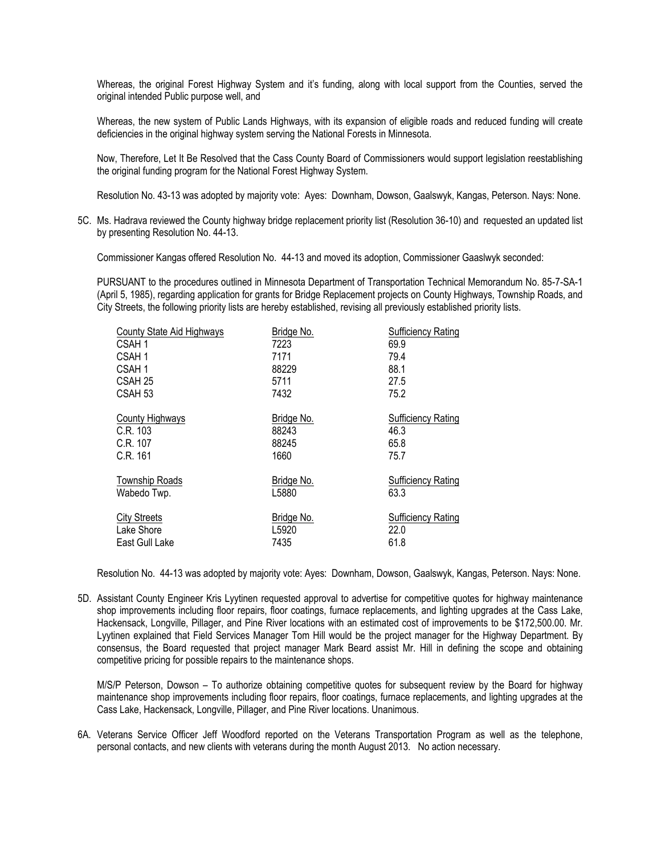Whereas, the original Forest Highway System and it's funding, along with local support from the Counties, served the original intended Public purpose well, and

Whereas, the new system of Public Lands Highways, with its expansion of eligible roads and reduced funding will create deficiencies in the original highway system serving the National Forests in Minnesota.

Now, Therefore, Let It Be Resolved that the Cass County Board of Commissioners would support legislation reestablishing the original funding program for the National Forest Highway System.

Resolution No. 43-13 was adopted by majority vote: Ayes: Downham, Dowson, Gaalswyk, Kangas, Peterson. Nays: None.

5C. Ms. Hadrava reviewed the County highway bridge replacement priority list (Resolution 36-10) and requested an updated list by presenting Resolution No. 44-13.

Commissioner Kangas offered Resolution No. 44-13 and moved its adoption, Commissioner Gaaslwyk seconded:

PURSUANT to the procedures outlined in Minnesota Department of Transportation Technical Memorandum No. 85-7-SA-1 (April 5, 1985), regarding application for grants for Bridge Replacement projects on County Highways, Township Roads, and City Streets, the following priority lists are hereby established, revising all previously established priority lists.

| County State Aid Highways | Bridge No. | <b>Sufficiency Rating</b> |
|---------------------------|------------|---------------------------|
| CSAH 1                    | 7223       | 69.9                      |
| CSAH <sub>1</sub>         | 7171       | 79.4                      |
| CSAH <sub>1</sub>         | 88229      | 88.1                      |
| CSAH 25                   | 5711       | 27.5                      |
| CSAH <sub>53</sub>        | 7432       | 75.2                      |
| <b>County Highways</b>    | Bridge No. | <b>Sufficiency Rating</b> |
| C.R. 103                  | 88243      | 46.3                      |
| C.R. 107                  | 88245      | 65.8                      |
| C.R. 161                  | 1660       | 75.7                      |
| Township Roads            | Bridge No. | <b>Sufficiency Rating</b> |
| Wabedo Twp.               | L5880      | 63.3                      |
| <b>City Streets</b>       | Bridge No. | <b>Sufficiency Rating</b> |
| Lake Shore                | L5920      | 22.0                      |
| East Gull Lake            | 7435       | 61.8                      |
|                           |            |                           |

Resolution No. 44-13 was adopted by majority vote: Ayes: Downham, Dowson, Gaalswyk, Kangas, Peterson. Nays: None.

5D. Assistant County Engineer Kris Lyytinen requested approval to advertise for competitive quotes for highway maintenance shop improvements including floor repairs, floor coatings, furnace replacements, and lighting upgrades at the Cass Lake, Hackensack, Longville, Pillager, and Pine River locations with an estimated cost of improvements to be \$172,500.00. Mr. Lyytinen explained that Field Services Manager Tom Hill would be the project manager for the Highway Department. By consensus, the Board requested that project manager Mark Beard assist Mr. Hill in defining the scope and obtaining competitive pricing for possible repairs to the maintenance shops.

M/S/P Peterson, Dowson – To authorize obtaining competitive quotes for subsequent review by the Board for highway maintenance shop improvements including floor repairs, floor coatings, furnace replacements, and lighting upgrades at the Cass Lake, Hackensack, Longville, Pillager, and Pine River locations. Unanimous.

6A. Veterans Service Officer Jeff Woodford reported on the Veterans Transportation Program as well as the telephone, personal contacts, and new clients with veterans during the month August 2013. No action necessary.